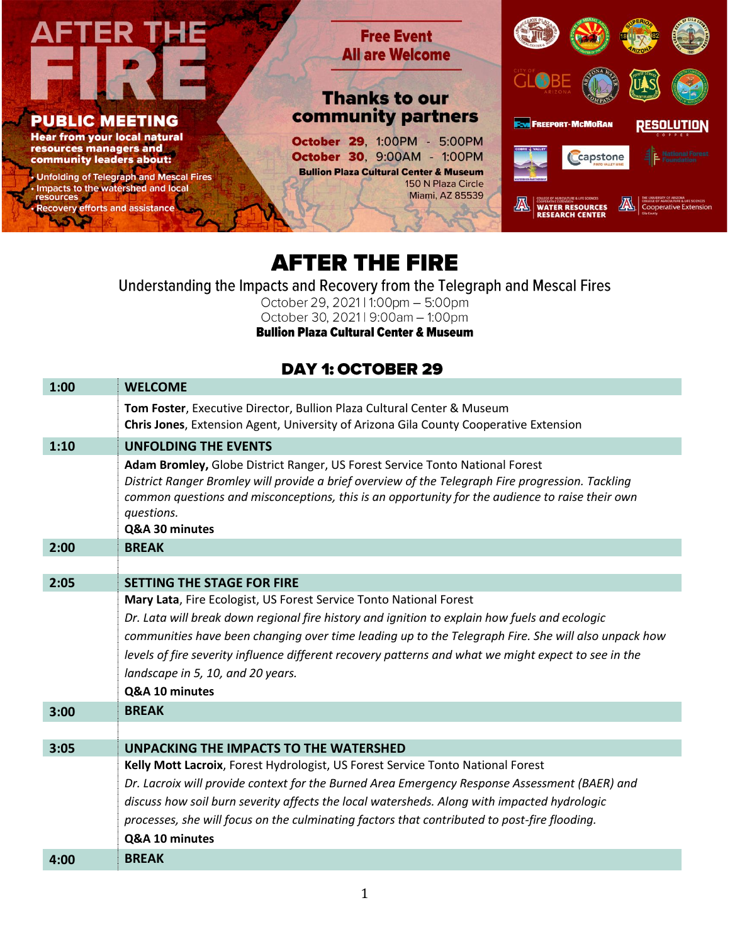

## **AFTER THE FIRE**

Understanding the Impacts and Recovery from the Telegraph and Mescal Fires

October 29, 2021 | 1:00pm - 5:00pm October 30, 2021 | 9:00am - 1:00pm

**Bullion Plaza Cultural Center & Museum** 

## **DAY 1: OCTOBER 29**

| 1:00 | <b>WELCOME</b>                                                                                                                                                                                                                                                                                                       |
|------|----------------------------------------------------------------------------------------------------------------------------------------------------------------------------------------------------------------------------------------------------------------------------------------------------------------------|
|      | Tom Foster, Executive Director, Bullion Plaza Cultural Center & Museum<br><b>Chris Jones, Extension Agent, University of Arizona Gila County Cooperative Extension</b>                                                                                                                                               |
| 1:10 | <b>UNFOLDING THE EVENTS</b>                                                                                                                                                                                                                                                                                          |
|      | Adam Bromley, Globe District Ranger, US Forest Service Tonto National Forest<br>District Ranger Bromley will provide a brief overview of the Telegraph Fire progression. Tackling<br>common questions and misconceptions, this is an opportunity for the audience to raise their own<br>questions.<br>Q&A 30 minutes |
| 2:00 | <b>BREAK</b>                                                                                                                                                                                                                                                                                                         |
|      |                                                                                                                                                                                                                                                                                                                      |
| 2:05 | <b>SETTING THE STAGE FOR FIRE</b>                                                                                                                                                                                                                                                                                    |
|      | Mary Lata, Fire Ecologist, US Forest Service Tonto National Forest                                                                                                                                                                                                                                                   |
|      | Dr. Lata will break down regional fire history and ignition to explain how fuels and ecologic                                                                                                                                                                                                                        |
|      | communities have been changing over time leading up to the Telegraph Fire. She will also unpack how                                                                                                                                                                                                                  |
|      | levels of fire severity influence different recovery patterns and what we might expect to see in the                                                                                                                                                                                                                 |
|      | landscape in 5, 10, and 20 years.                                                                                                                                                                                                                                                                                    |
|      | Q&A 10 minutes                                                                                                                                                                                                                                                                                                       |
| 3:00 | <b>BREAK</b>                                                                                                                                                                                                                                                                                                         |
|      |                                                                                                                                                                                                                                                                                                                      |
| 3:05 | UNPACKING THE IMPACTS TO THE WATERSHED                                                                                                                                                                                                                                                                               |
|      | Kelly Mott Lacroix, Forest Hydrologist, US Forest Service Tonto National Forest                                                                                                                                                                                                                                      |
|      | Dr. Lacroix will provide context for the Burned Area Emergency Response Assessment (BAER) and                                                                                                                                                                                                                        |
|      | discuss how soil burn severity affects the local watersheds. Along with impacted hydrologic                                                                                                                                                                                                                          |
|      | processes, she will focus on the culminating factors that contributed to post-fire flooding.                                                                                                                                                                                                                         |
|      | Q&A 10 minutes                                                                                                                                                                                                                                                                                                       |
| 4:00 | <b>BREAK</b>                                                                                                                                                                                                                                                                                                         |